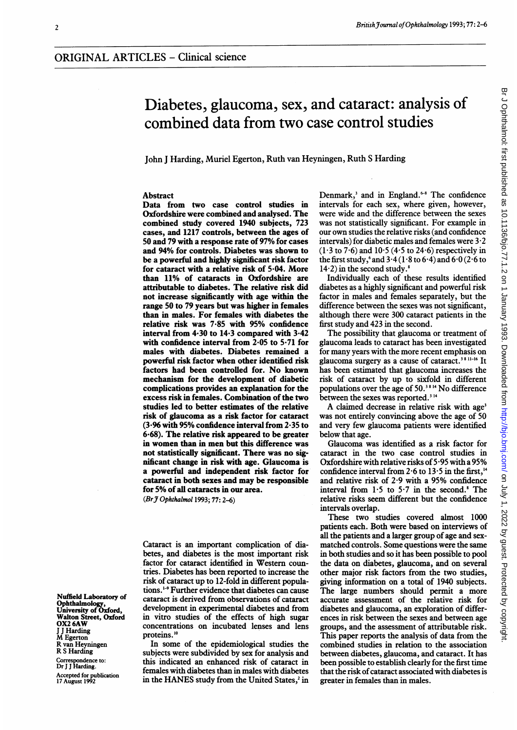# Diabetes, glaucoma, sex, and cataract: analysis of combined data from two case control studies

John <sup>J</sup> Harding, Muriel Egerton, Ruth van Heyningen, Ruth S Harding

## Abstract

Data from two case control studies in Oxfordshire were combined and analysed. The combined study covered 1940 subjects, 723 cases, and 1217 controls, between the ages of 50 and 79 with a response rate of 97% for cases and 94% for controls. Diabetes was shown to be a powerful and highly significant risk factor for cataract with a relative risk of  $5.04$ . More than 11% of cataracts in Oxfordshire are attributable to diabetes. The relative risk did not increase significantly with age within the range 50 to 79 years but was higher in females than in males. For females with diabetes the relative risk was 7 85 with 95% confidence interval from 4.30 to 14.3 compared with 3.42 with confidence interval from 2.05 to 5.71 for males with diabetes. Diabetes remained a powerful risk factor when other identified risk factors had been controlled for. No known mechanism for the development of diabetic complications provides an explanation for the excess risk in females. Combination of the two studies led to better estimates of the relative risk of glaucoma as a risk factor for cataract  $(3.96 \text{ with } 95\% \text{ confidence interval from } 2.35 \text{ to } 10^{-1}$ 6.68). The relative risk appeared to be greater in women than in men but this difference was not statistically significant. There was no significant change in risk with age. Glaucoma is a powerful and independent risk factor for cataract in both sexes and may be responsible for 5% of all cataracts in our area.

(BrJ Ophthalmol 1993; 77: 2-6)

Cataract is an important complication of diabetes, and diabetes is the most important risk factor for cataract identified in Western countries. Diabetes has been reported to increase the risk of cataract up to 12-fold in different populations.19 Further evidence that diabetes can cause cataract is derived from observations of cataract development in experimental diabetes and from in vitro studies of the effects of high sugar concentrations on incubated lenses and lens proteins.'°

In some of the epidemiological studies the subjects were subdivided by sex for analysis and this indicated an enhanced risk of cataract in females with diabetes than in males with diabetes in the HANES study from the United States,<sup>2</sup> in

Denmark,<sup>3</sup> and in England.<sup> $6-8$ </sup> The confidence intervals for each sex, where given, however, were wide and the difference between the sexes was not statistically significant. For example in our own studies the relative risks (and confidence intervals) for diabetic males and females were  $3.2$  $(1·3)$  to  $7·6$ ) and  $10·5$   $(4·5)$  to  $24·6$ ) respectively in the first study,  $\sinh 3.4 (1.8 \text{ to } 6.4)$  and  $6.0 (2.6 \text{ to } 6.4)$  $14-2$ ) in the second study.<sup>8</sup>

Individually each of these results identified diabetes as a highly significant and powerful risk factor in males and females separately, but the difference between the sexes was not significant, although there were 300 cataract patients in the first study and 423 in the second.

The possibility that glaucoma or treatment of glaucoma leads to cataract has been investigated for many years with the more recent emphasis on glaucoma surgery as a cause of cataract.38 11-16 It has been estimated that glaucoma increases the risk of cataract by up to sixfold in different populations over the age of  $50.^{38\,14}$  No difference between the sexes was reported.<sup>314</sup>

A claimed decrease in relative risk with age<sup>3</sup> was not entirely convincing above the age of 50 and very few glaucoma patients were identified below that age.

Glaucoma was identified as a risk factor for cataract in the two case control studies in Oxfordshire with relative risks of 5.95 with a 95% confidence interval from  $2.6$  to  $13.5$  in the first,<sup>14</sup> and relative risk of 2-9 with a 95% confidence interval from  $1.5$  to  $5.7$  in the second.<sup>8</sup> The relative risks seem different but the confidence intervals overlap.

These two studies covered almost 1000 patients each. Both were based on interviews of all the patients and a larger group of age and sexmatched controls. Some questions were the same in both studies and so it has been possible to pool the data on diabetes, glaucoma, and on several other major risk factors from the two studies, giving information on a total of 1940 subjects. The large numbers should permit a more accurate assessment of the relative risk for diabetes and glaucoma, an exploration of differences in risk between the sexes and between age groups, and the assessment of attributable risk. This paper reports the analysis of data from the combined studies in relation to the association between diabetes, glaucoma, and cataract. It has been possible to establish clearly for the first time that the risk of cataract associated with diabetes is greater in females than in males.

Br J Ophthalmol: first published as 10.1136/bjo.77.1.2 on 1 January 1993. Downloaded from http://bjo.bmj.com/ on July 1, 2022 by guest. Protected by copyright Br Johthalmol: first published as 10.1136/bjo.77.1.2 on 1 January 1993. Downloaded from <http://bjo.bmj.com/> on July 1, 2022 by guest. Protected by copyright.

Nuffield Laboratory of Ophthalmology, University of Oxford, Walton Street, Oxford OX2 6AW J J Harding M Egerton l van Heyningen R <sup>S</sup> Harding

Correspondence to: Dr <sup>J</sup> J Harding. Accepted for publication 17 August 1992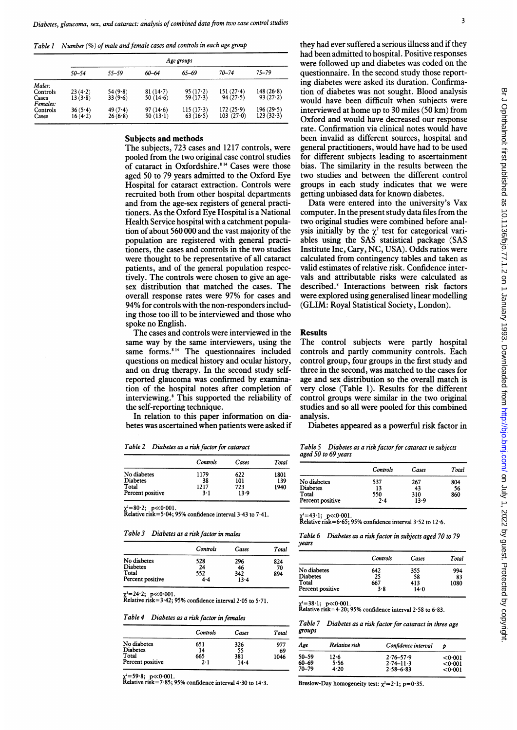Table 1 Number (%) of male and female cases and controls in each age group

|          | Age groups |         |             |             |             |           |
|----------|------------|---------|-------------|-------------|-------------|-----------|
|          | $50 - 54$  | 55-59   | 60–64       | 65-69       | $70 - 74$   | $75 - 79$ |
| Males:   |            |         |             |             |             |           |
| Controls | $23(4-2)$  | 54(9.8) | $81(14-7)$  | 95(17.2)    | $151(27-4)$ | 148(26.8) |
| Cases    | 13(3.8)    | 33(9.6) | 50 $(14.6)$ | 59(17.3)    | 94(27.5)    | 93(27.2)  |
| Females: |            |         |             |             |             |           |
| Controls | 36(5.4)    | 49(7.4) | 97(14.6)    | $115(17-3)$ | 172(25.9)   | 196(29.5) |
| Cases    | 16(4.2)    | 26(6.8) | $50(13-1)$  | 63(16.5)    | 103(27.0)   | 123(32.3) |
|          |            |         |             |             |             |           |

## Subjects and methods

The subjects, 723 cases and 1217 controls, were pooled from the two original case control studies of cataract in Oxfordshire.<sup>814</sup> Cases were those aged 50 to 79 years admitted to the Oxford Eye Hospital for cataract extraction. Controls were recruited both from other hospital departments and from the age-sex registers of general practitioners. As the Oxford Eye Hospital is a National Health Service hospital with a catchment population of about 560 000 and the vast majority of the population are registered with general practitioners, the cases and controls in the two studies were thought to be representative of all cataract patients, and of the general population respectively. The controls were chosen to give an agesex distribution that matched the cases. The overall response rates were 97% for cases and 94% for controls with the non-responders including those too ill to be interviewed and those who spoke no English.

The cases and controls were interviewed in the same way by the same interviewers, using the same forms.<sup>814</sup> The questionnaires included questions on medical history and ocular history, and on drug therapy. In the second study selfreported glaucoma was confirmed by examination of the hospital notes after completion of interviewing.8 This supported the reliability of the self-reporting technique.

In relation to this paper information on diabetes was ascertained when patients were asked if

Table 2 Diabetes as a risk factor for cataract

|                  | Controls | Cases | Total |
|------------------|----------|-------|-------|
| No diabetes      | 1179     | 622   | 1801  |
| <b>Diabetes</b>  | 38       | 101   | 139   |
| Total            | 1217     | 723   | 1940  |
| Percent positive | 3.1      | 13.9  |       |

x=80·2; p<<0·001.<br>Relative risk=5·04; 95% confidence interval 3·43 to 7·41.

Table 3 Diabetes as a risk factor in males

|                  | Controls | Cases | Total |
|------------------|----------|-------|-------|
| No diabetes      | 528      | 296   | 824   |
| <b>Diabetes</b>  | 24       | 46    | 70    |
| Total            | 552      | 342   | 894   |
| Percent positive | 4.4      | 13.4  |       |

 $=24.2; \ p \ll 0.001.$ 

Relative risk= $3.42$ ; 95% confidence interval 2.05 to 5.71.

Table 4 Diabetes as a risk factor in females

|                  | Controls | Cases    | Total |
|------------------|----------|----------|-------|
| No diabetes      | 651      | 326      | 977   |
| <b>Diabetes</b>  | 14       | 55       | 69    |
| Total            | 665      | 381      | 1046  |
| Percent positive | 2.1      | $14 - 4$ |       |

x'=59·8; p≪0·001.<br>Relative risk=7·85; 95% confidence interval 4·30 to 14·3.

they had ever suffered a serious illness and if they had been admitted to hospital. Positive responses were followed up and diabetes was coded on the questionnaire. In the second study those reporting diabetes were asked its duration. Confirmation of diabetes was not sought. Blood analysis would have been difficult when subjects were interviewed at home up to 30 miles (50 km) from Oxford and would have decreased our response rate. Confirmation via clinical notes would have been invalid as different sources, hospital and general practitioners, would have had to be used for different subjects leading to ascertainment bias. The similarity in the results between the two studies and between the different control groups in each study indicates that we were getting unbiased data for known diabetes.

Data were entered into the university's Vax computer. In the present study data files from the two original studies were combined before analysis initially by the  $\chi^2$  test for categorical variables using the SAS statistical package (SAS Institute Inc, Cary, NC, USA). Odds ratios were calculated from contingency tables and taken as valid estimates of relative risk. Confidence intervals and attributable risks were calculated as described.<sup>8</sup> Interactions between risk factors were explored using generalised linear modelling (GLIM: Royal Statistical Society, London).

#### Results

The control subjects were partly hospital controls and partly community controls. Each control group, four groups in the first study and three in the second, was matched to the cases for age and sex distribution so the overall match is very close (Table 1). Results for the different control groups were similar in the two original studies and so all were pooled for this combined analysis.

Diabetes appeared as a powerful risk factor in

Table 5 Diabetes as a risk factor for cataract in subjects aged 50 to 69 years

|                  | Controls | Cases | Total |
|------------------|----------|-------|-------|
| No diabetes      | 537      | 267   | 804   |
| <b>Diabetes</b>  | 13       | 43    | 56    |
| Total            | 550      | 310   | 860   |
| Percent positive | 2.4      | 13.9  |       |

 $x=43.1; p\ll 0.001$ 

Relative risk=6.65; 95% confidence interval  $3.52$  to  $12.6$ .

Table 6 Diabetes as a risk factor in subjects aged 70 to 79 years

|                  | Controls | Cases    | Total |
|------------------|----------|----------|-------|
| No diabetes      | 642      | 355      | 994   |
| Diabetes         | 25       | 58       | 83    |
| Total            | 667      | 413      | 1080  |
| Percent positive | 3.8      | $14 - 0$ |       |

x=38-1; p<<0-001.<br>Relative risk=4-20; 95% confidence interval 2-58 to 6-83.

Table 7 Diabetes as arisk factor for cataract in three age groups

| Age       | Relative risk | Confidence interval |         |
|-----------|---------------|---------------------|---------|
| 50-59     | $12 - 6$      | $2.76 - 57.9$       | <0.001  |
| $60 - 69$ | 5.56          | $2.74 - 11.3$       | < 0.001 |
| $70 - 79$ | $4 - 20$      | $2.58 - 6.83$       | < 0.001 |

Breslow-Day homogeneity test:  $\chi^2 = 2 \cdot 1$ ; p=0.35.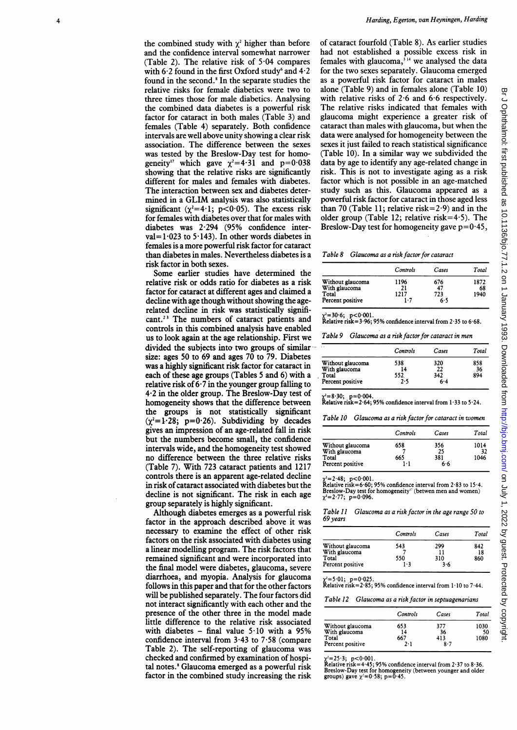the combined study with  $\chi^2$  higher than before and the confidence interval somewhat narrower (Table 2). The relative risk of 5 04 compares with 6.2 found in the first Oxford study<sup>6</sup> and  $4.2$ found in the second.<sup>8</sup> In the separate studies the relative risks for female diabetics were two to three times those for male diabetics. Analysing the combined data diabetes is a powerful risk factor for cataract in both males (Table 3) and females (Table 4) separately. Both confidence intervals are well above unity showing a clear risk association. The difference between the sexes was tested by the Breslow-Day test for homogeneity<sup>17</sup> which gave  $\gamma^2 = 4.31$  and  $p = 0.038$ showing that the relative risks are significantly different for males and females with diabetes. The interaction between sex and diabetes determined in <sup>a</sup> GLIM analysis was also statistically significant ( $\chi^2$ =4·1; p<0·05). The excess risk for females with diabetes over that for males with diabetes was 2-294 (95% confidence interval= $1.023$  to  $5.143$ ). In other words diabetes in females is a more powerful risk factor for cataract than diabetes in males. Nevertheless diabetes is a risk factor in both sexes.

Some earlier studies have determined the relative risk or odds ratio for diabetes as a risk factor for cataract at different ages and claimed a decline with age though without showing the agerelated decline in risk was statistically significant.23 The numbers of cataract patients and controls in this combined analysis have enabled us to look again at the age relationship. First we divided the subjects into two groups of similarsize: ages 50 to 69 and ages 70 to 79. Diabetes was a highly significant risk factor for cataract in each of these age groups (Tables 5 and 6) with a relative risk of 6 7 in the younger group falling to 4-2 in the older group. The Breslow-Day test of homogeneity shows that the difference between the groups is not statistically significant  $(\chi^2=1.28; p=0.26)$ . Subdividing by decades gives an impression of an age-related fall in risk but the numbers become small, the confidence intervals wide, and the homogeneity test showed no difference between the three relative risks (Table 7). With 723 cataract patients and 1217 controls there is an apparent age-related decline in risk of cataract associated with diabetes but the decline is not significant. The risk in each age group separately is highly significant.

Although diabetes emerges as a powerful risk factor in the approach described above it was necessary to examine the effect of other risk factors on the risk associated with diabetes using a linear modelling program. The risk factors that remained significant and were incorporated into the final model were diabetes, glaucoma, severe diarrhoea, and myopia. Analysis for glaucoma follows in this paper and that for the other factors will be published separately. The four factors did not interact significantly with each other and the presence of the other three in the model made little difference to the relative risk associated with diabetes  $-$  final value  $5.10$  with a 95% confidence interval from  $3.43$  to  $7.58$  (compare Table 2). The self-reporting of glaucoma was checked and confirmed by examination of hospital notes.<sup>8</sup> Glaucoma emerged as a powerful risk factor in the combined study increasing the risk

of cataract fourfold (Table 8). As earlier studies had not established a possible excess risk in females with glaucoma,  $314$  we analysed the data for the two sexes separately. Glaucoma emerged as a powerful risk factor for cataract in males alone (Table 9) and in females alone (Table 10) with relative risks of 2-6 and 6-6 respectively. The relative risks indicated that females with glaucoma might experience a greater risk of cataract than males with glaucoma, but when the data were analysed for homogeneity between the sexes it just failed to reach statistical significance (Table 10). In a similar way we subdivided the data by age to identify any age-related change in risk. This is not to investigate aging as a risk factor which is not possible in an age-matched study such as this. Glaucoma appeared as a powerful risk factor for cataract in those aged less than 70 (Table 11; relative risk=2 $\cdot$ 9) and in the older group (Table 12; relative risk=4.5). The Breslow-Day test for homogeneity gave  $p=0.45$ ,

Table 8 Glaucoma as a risk factor for cataract

|                                                                | Controls                  | Cases                   | Total              |
|----------------------------------------------------------------|---------------------------|-------------------------|--------------------|
| Without glaucoma<br>With glaucoma<br>Total<br>Percent positive | 1196<br>21<br>1217<br>1.7 | 676<br>47<br>723<br>6.5 | 1872<br>68<br>1940 |

x<sup>2</sup>=30·6; p<0·001.<br>Relative risk=3·96; 95% confidence interval from 2·35 to 6·68.

Table 9 Glaucoma as a risk factorfor cataract in men

| Controls | Cases | Total |
|----------|-------|-------|
| 538      | 320   | 858   |
| 14       | 22    | 36    |
| 552.     | 342   | 894   |
| 2.5      | 6.4   |       |
|          |       |       |

 $\chi$ <sup>2</sup>=8·30; p=0·004.<br>Relative risk=2·64; 95% confidence interval from 1·33 to 5·24.

Table 10 Glaucoma as a risk factorfor cataract in women

|                                                                | Controls          | Cases                   | Total              |
|----------------------------------------------------------------|-------------------|-------------------------|--------------------|
| Without glaucoma<br>With glaucoma<br>Total<br>Percent positive | 658<br>665<br>1.1 | 356<br>25<br>381<br>6.6 | 1014<br>32<br>1046 |

x<sup>2</sup>=2·48; p<0·001.<br>Relative risk=6·60; 95% confidence interval from 2·83 to 15·4. Breslow-Day test for homogeneity" (betwen men and women)  $\chi^2 = 2.77$ ; p=0.096.

Table 11 1 Glaucoma as a risk factor in the age range 50 to 69 years

| Controls | Cases | Total |
|----------|-------|-------|
| 543      | 299   | 842   |
|          |       | 18    |
| 550      | 310   | 860   |
| $1 - 3$  | 3.6   |       |
|          |       |       |

2=5-01- p=0-025. Relative risk=2-85; 95% confidence interval from <sup>1</sup> 10 to 7 44.

Table 12 Glaucoma as a risk factor in septuagenarians

|                                   | Controls | Cases | Total |
|-----------------------------------|----------|-------|-------|
|                                   | 653      | 377   | 1030  |
| Without glaucoma<br>With glaucoma | 14       | 36    | 50    |
| Total                             | 667      | 413   | 1080  |
| Percent positive                  | 7. 1     | 8.7   |       |

x'=25-3; p<0·001.<br>Relative risk=4·45; 95% confidence interval from 2·37 to 8·36. Breslow-Day test for homogeneity (between younger and older groups) gave  $\chi^2$ =0.58; p=0.45.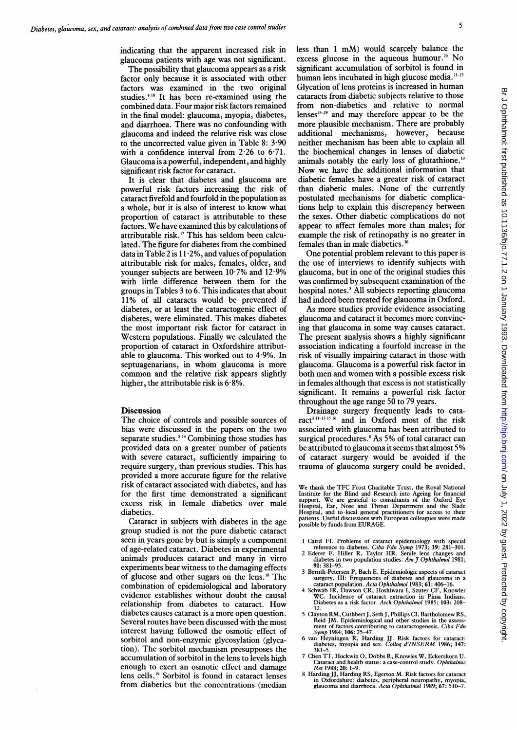indicating that the apparent increased risk in glaucoma patients with age was not significant.

The possibility that glaucoma appears as a risk factor only because it is associated with other factors was examined in the two original studies.<sup>818</sup> It has been re-examined using the combined data. Four major risk factors remained in the final model: glaucoma, myopia, diabetes, and diarrhoea. There was no confounding with glaucoma and indeed the relative risk was close to the uncorrected value given in Table 8:  $3.90$ with a confidence interval from 2.26 to 6.71. Glaucoma is a powerful, independent, and highly significant risk factor for cataract.

It is clear that diabetes and glaucoma are powerful risk factors increasing the risk of cataract fivefold and fourfold in the population as a whole, but it is also of interest to know what proportion of cataract is attributable to these factors. We have examined this by calculations of attributable risk.'7 This has seldom been calculated. The figure for diabetes from the combined data in Table 2 is  $11.2\%$ , and values of population attributable risk for males, females, older, and younger subjects are between 10-7% and 12-9% with little difference between them for the groups in Tables 3 to 6. This indicates that about 11% of all cataracts would be prevented if diabetes, or at least the cataractogenic effect of diabetes, were eliminated. This makes diabetes the most important risk factor for cataract in Western populations. Finally we calculated the proportion of cataract in Oxfordshire attributable to glaucoma. This worked out to 4-9%. In septuagenarians, in whom glaucoma is more common and the relative risk appears slightly higher, the attributable risk is 6-8%.

### **Discussion**

The choice of controls and possible sources of bias were discussed in the papers on the two separate studies.<sup>814</sup> Combining those studies has provided data on a greater number of patients with severe cataract, sufficiently impairing to require surgery, than previous studies. This has provided a more accurate figure for the relative risk of cataract associated with diabetes, and has for the first time demonstrated a significant excess risk in female diabetics over male diabetics.

Cataract in subjects with diabetes in the age group studied is not the pure diabetic cataract seen in years gone by but is simply a component of age-related cataract. Diabetes in experimental animals produces cataract and many in vitro experiments bear witness to the damaging effects of glucose and other sugars on the lens.'0 The combination of epidemiological and laboratory evidence establishes without doubt the causal relationship from diabetes to cataract. How diabetes causes cataract is a more open question. Several routes have been discussed with the most interest having followed the osmotic effect of sorbitol and non-enzymic glycosylation (glycation). The sorbitol mechanism presupposes the accumulation of sorbitol in the lens to levels high enough to exert an osmotic effect and damage lens cells.'9 Sorbitol is found in cataract lenses from diabetics but the concentrations (median less than 1 mM) would scarcely balance the excess glucose in the aqueous humour.<sup>20</sup> No excess glucose in the aqueous humour.<sup>20</sup> significant accumulation of sorbitol is found in human lens incubated in high glucose media.<sup>21-23</sup> Glycation of lens proteins is increased in human cataracts from diabetic subjects relative to those from non-diabetics and relative to normal lenses<sup> $24-29$ </sup> and may therefore appear to be the more plausible mechanism. There are probably additional mechanisms, however, because neither mechanism has been able to explain all the biochemical changes in lenses of diabetic animals notably the early loss of glutathione.<sup>10</sup> Now we have the additional information that diabetic females have a greater risk of cataract than diabetic males. None of the currently postulated mechanisms for diabetic complications help to explain this discrepancy between the sexes. Other diabetic complications do not appear to affect- females more than males; for example the risk of retinopathy is no greater in females than in male diabetics.<sup>3</sup>

One potential problem relevant to this paper is the use of interviews to identify subjects with glaucoma, but in one of the original studies this was confirmed by subsequent examination of the hospital notes.<sup>8</sup> All subjects reporting glaucoma had indeed been treated for glaucoma in Oxford.

As more studies provide evidence associating glaucoma and cataract it becomes more convincing that glaucoma in some way causes cataract. The present analysis shows a highly significant association indicating a fourfold increase in the risk of visually impairing cataract in those with glaucoma. Glaucoma is a powerful risk factor in both men and women with <sup>a</sup> possible excess risk in females although that excess is not statistically significant. It remains a powerful risk factor throughout the age range 50 to 79 years.

Drainage surgery frequently leads to cataract<sup>3 11-13 15 16</sup> and in Oxford most of the risk associated with glaucoma has been attributed to surgical procedures.<sup>8</sup> As 5% of total cataract can be attributed to glaucoma it seems that almost 5% of cataract surgery would be avoided if the trauma of glaucoma surgery could be avoided.

We thank the TFC Frost Charitable Trust, the Royal National Institute for the Blind and Research into Ageing for financial<br>support. We are grateful to consultants of the Oxford Eye<br>Hospital, Ear, Nose and Throat Department and the Slade<br>Hospital, and to local general practitioners possible by funds from EURAGE.

- <sup>1</sup> Caird Fl. Problems of cataract epidemiology with special reference to diabetes. Ciba Fdn Symp 1973; 19: 281-301. 2 Ederer F, Hiller R, Taylor HR. Senile lens changes and
- iabetes in two population studies. Am  $\widetilde{\jmath}$  Ophthalmol 1981; 91: 381-95.
- 3 Bernth-Petersen P, Bach E. Epidemiologic aspects of cataract
- surgery, III: Frequencies of diabetes and glaucoma in a<br>cataract population. Acta Ophthalmol 1983; 61: 406–16.<br>4 Schwab IR, Dawson CR, Hoshiwara I, Szuter CF, Knowler<br>WC. Incidence of cataract extraction in Pima Indians.<br>D
- 12. <sup>5</sup> Clayton RM, Cuthbert J, Seth J, Phillips CI, Bartholomew RS, Reid JM. Epidemiological and other studies in the assess-ment of factors contributing to cataractogenesis. Ciba Fdn
- Symp 1984; 106: 25-47.<br>6 van Heyningen R, Harding JJ. Risk factors for cataract:<br>diabetes, myopia and sex. Colloq d'INSERM 1986; 147:
- 381-5. <sup>7</sup> Chen TT, Hockwin 0, Dobbs R, Knowles W, Eckerskorn U. Cataract and health status: a case-control study. Ophthalmic Res 1988; 20: 1-9.
- <sup>8</sup> Harding JJ, Harding RS, Egerton M. Risk factors for cataract in Oxfordshire: diabetes, peripheral neuropathy, myopia, glaucoma and diarrhoea. Acta Ophthalmol 1989; 67: 510-7.